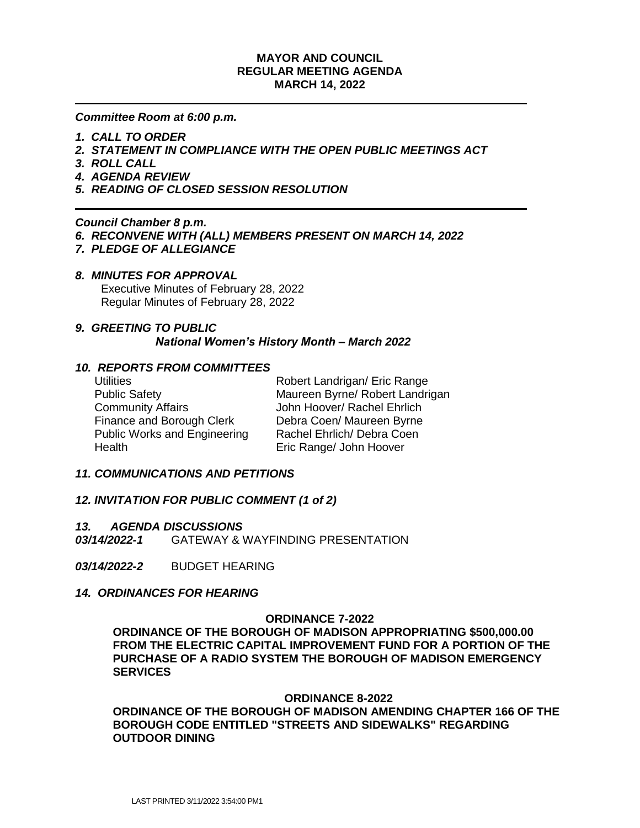## **MAYOR AND COUNCIL REGULAR MEETING AGENDA MARCH 14, 2022**

*Committee Room at 6:00 p.m.*

- *1. CALL TO ORDER*
- *2. STATEMENT IN COMPLIANCE WITH THE OPEN PUBLIC MEETINGS ACT*
- *3. ROLL CALL*
- *4. AGENDA REVIEW*
- *5. READING OF CLOSED SESSION RESOLUTION*

## *Council Chamber 8 p.m.*

- *6. RECONVENE WITH (ALL) MEMBERS PRESENT ON MARCH 14, 2022*
- *7. PLEDGE OF ALLEGIANCE*

#### *8. MINUTES FOR APPROVAL*

 Executive Minutes of February 28, 2022 Regular Minutes of February 28, 2022

#### *9. GREETING TO PUBLIC*

*National Women's History Month – March 2022*

## *10. REPORTS FROM COMMITTEES*

| <b>Utilities</b>                    | Robert Landrigan/ Eric Range    |
|-------------------------------------|---------------------------------|
| <b>Public Safety</b>                | Maureen Byrne/ Robert Landrigan |
| <b>Community Affairs</b>            | John Hoover/ Rachel Ehrlich     |
| Finance and Borough Clerk           | Debra Coen/ Maureen Byrne       |
| <b>Public Works and Engineering</b> | Rachel Ehrlich/ Debra Coen      |
| Health                              | Eric Range/ John Hoover         |

## *11. COMMUNICATIONS AND PETITIONS*

## *12. INVITATION FOR PUBLIC COMMENT (1 of 2)*

#### *13. AGENDA DISCUSSIONS*

*03/14/2022-1*GATEWAY & WAYFINDING PRESENTATION

*03/14/2022-2*BUDGET HEARING

## *14. ORDINANCES FOR HEARING*

#### **ORDINANCE 7-2022**

**ORDINANCE OF THE BOROUGH OF MADISON APPROPRIATING \$500,000.00 FROM THE ELECTRIC CAPITAL IMPROVEMENT FUND FOR A PORTION OF THE PURCHASE OF A RADIO SYSTEM THE BOROUGH OF MADISON EMERGENCY SERVICES**

#### **ORDINANCE 8-2022**

**ORDINANCE OF THE BOROUGH OF MADISON AMENDING CHAPTER 166 OF THE BOROUGH CODE ENTITLED "STREETS AND SIDEWALKS" REGARDING OUTDOOR DINING**